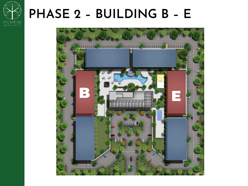

# PHASE 2 - BUILDING B - E

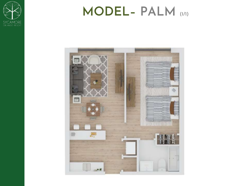

# MODEL-PALM

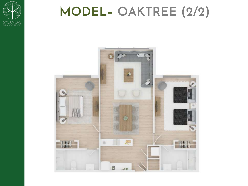

# **MODEL– OAKTREE (2/2)**

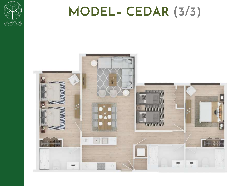

# **MODEL– CEDAR (3/3)**

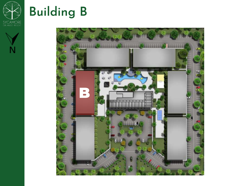



# **Building B**

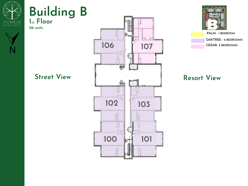

## **Building B 1st Floor**

**06 units**



# **106107** Ħ, Street View **Resort View Уднему относительно правила 102 103 100 101 BOOTH**



**OAKTREE -** 2 BEDROOMS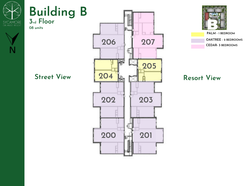

## **Building B 3rd Floor**

**08 units**







**OAKTREE -** 2 BEDROOMS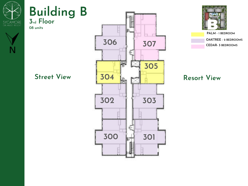

## **Building B 3rd Floor**

**08 units**





**OAKTREE -** 2 BEDROOMS **CEDAR- 3** BEDROOMS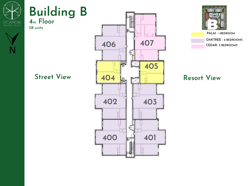

## **Building B 4th Floor**

**08 units**



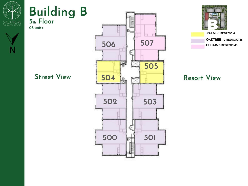

## **Building B 5th Floor**

**08 units**



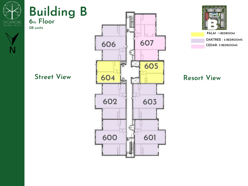

## **Building B 6th Floor**

**08 units**







**OAKTREE -** 2 BEDROOMS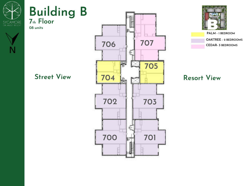

## **Building B 7th Floor**

**08 units**





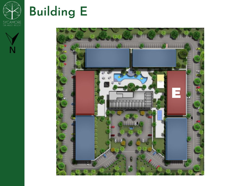



# **Building E**

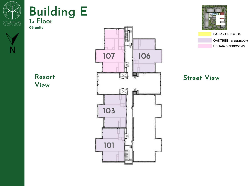

## **Building E 1st Floor**

**06 units**



**Resort View**





**OAKTREE - 2 BEDROOM CEDAR- 3** BEDROOMS **PALM -** 1 BEDROOM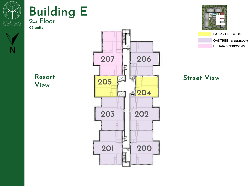

### **Building E 2nd Floor**

**08 units**



**Resort View**





**OAKTREE - 2 BEDROOM CEDAR- 3** BEDROOMS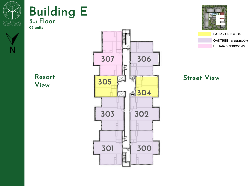

### **Building E 3nd Floor**

**08 units**



**Resort View**





**OAKTREE - 2 BEDROOM CEDAR- 3** BEDROOMS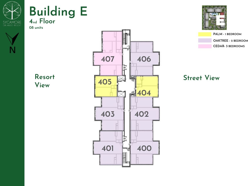

### **Building E 4nd Floor**

**08 units**



**Resort View**





**OAKTREE - 2 BEDROOM CEDAR- 3** BEDROOMS **PALM -** 1 BEDROOM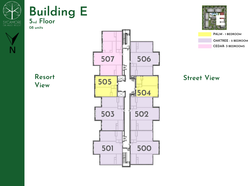

### **Building E 5nd Floor**

**08 units**



**Resort View**





**OAKTREE - 2 BEDROOM CEDAR- 3** BEDROOMS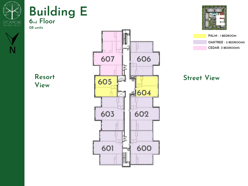

### **Building E 6nd Floor**

**08 units**



**Resort View**